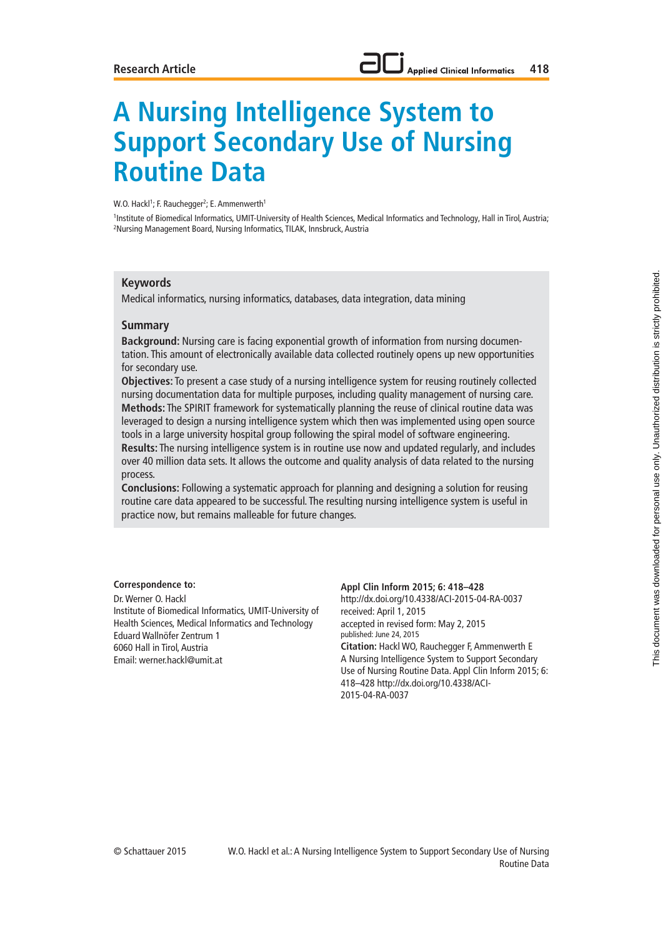# **A Nursing Intelligence System to Support Secondary Use of Nursing Routine Data**

W.O. Hackl<sup>1</sup>; F. Rauchegger<sup>2</sup>; E. Ammenwerth<sup>1</sup>

<sup>1</sup>Institute of Biomedical Informatics, UMIT-University of Health Sciences, Medical Informatics and Technology, Hall in Tirol, Austria;<br><sup>2</sup>Nursing Management Board, Nursing Informatics, TILAK, Innshruck, Austria Nursing Management Board, Nursing Informatics, TILAK, Innsbruck, Austria

### **Keywords**

Medical informatics, nursing informatics, databases, data integration, data mining

#### **Summary**

**Background:** Nursing care is facing exponential growth of information from nursing documentation. This amount of electronically available data collected routinely opens up new opportunities for secondary use.

**Objectives:** To present a case study of a nursing intelligence system for reusing routinely collected nursing documentation data for multiple purposes, including quality management of nursing care. **Methods:** The SPIRIT framework for systematically planning the reuse of clinical routine data was leveraged to design a nursing intelligence system which then was implemented using open source tools in a large university hospital group following the spiral model of software engineering.

**Results:** The nursing intelligence system is in routine use now and updated regularly, and includes over 40 million data sets. It allows the outcome and quality analysis of data related to the nursing process.

**Conclusions:** Following a systematic approach for planning and designing a solution for reusing routine care data appeared to be successful. The resulting nursing intelligence system is useful in practice now, but remains malleable for future changes.

#### **Correspondence to:**

Dr. Werner O. Hackl Institute of Biomedical Informatics, UMIT-University of Health Sciences, Medical Informatics and Technology Eduard Wallnöfer Zentrum 1 6060 Hall in Tirol, Austria Email: werner.hackl@umit.at

#### **Appl Clin Inform 2015; 6: 418–428**

http://dx.doi.org/10.4338/ACI-2015-04-RA-0037 received: April 1, 2015 accepted in revised form: May 2, 2015 published: June 24, 2015 **Citation:** Hackl WO, Rauchegger F, Ammenwerth E A Nursing Intelligence System to Support Secondary Use of Nursing Routine Data. Appl Clin Inform 2015; 6: 418–428 http://dx.doi.org/10.4338/ACI-2015-04-RA-0037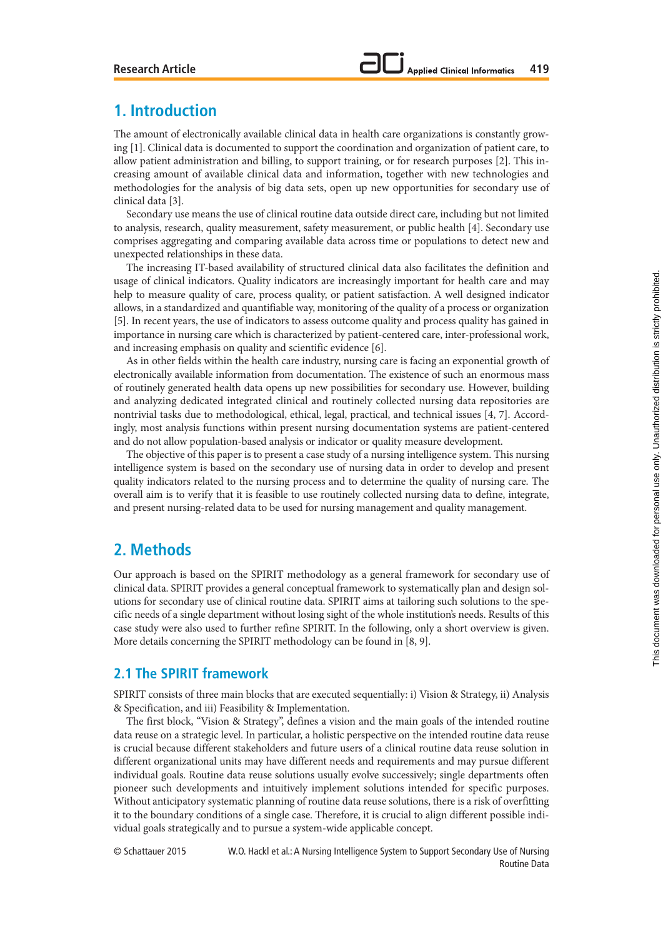# **1. Introduction**

The amount of electronically available clinical data in health care organizations is constantly growing [1]. Clinical data is documented to support the coordination and organization of patient care, to allow patient administration and billing, to support training, or for research purposes [2]. This increasing amount of available clinical data and information, together with new technologies and methodologies for the analysis of big data sets, open up new opportunities for secondary use of clinical data [3].

Secondary use means the use of clinical routine data outside direct care, including but not limited to analysis, research, quality measurement, safety measurement, or public health [4]. Secondary use comprises aggregating and comparing available data across time or populations to detect new and unexpected relationships in these data.

The increasing IT-based availability of structured clinical data also facilitates the definition and usage of clinical indicators. Quality indicators are increasingly important for health care and may help to measure quality of care, process quality, or patient satisfaction. A well designed indicator allows, in a standardized and quantifiable way, monitoring of the quality of a process or organization [5]. In recent years, the use of indicators to assess outcome quality and process quality has gained in importance in nursing care which is characterized by patient-centered care, inter-professional work, and increasing emphasis on quality and scientific evidence [6].

As in other fields within the health care industry, nursing care is facing an exponential growth of electronically available information from documentation. The existence of such an enormous mass of routinely generated health data opens up new possibilities for secondary use. However, building and analyzing dedicated integrated clinical and routinely collected nursing data repositories are nontrivial tasks due to methodological, ethical, legal, practical, and technical issues [4, 7]. Accordingly, most analysis functions within present nursing documentation systems are patient-centered and do not allow population-based analysis or indicator or quality measure development.

The objective of this paper is to present a case study of a nursing intelligence system. This nursing intelligence system is based on the secondary use of nursing data in order to develop and present quality indicators related to the nursing process and to determine the quality of nursing care. The overall aim is to verify that it is feasible to use routinely collected nursing data to define, integrate, and present nursing-related data to be used for nursing management and quality management.

# **2. Methods**

Our approach is based on the SPIRIT methodology as a general framework for secondary use of clinical data. SPIRIT provides a general conceptual framework to systematically plan and design solutions for secondary use of clinical routine data. SPIRIT aims at tailoring such solutions to the specific needs of a single department without losing sight of the whole institution's needs. Results of this case study were also used to further refine SPIRIT. In the following, only a short overview is given. More details concerning the SPIRIT methodology can be found in [8, 9].

### **2.1 The SPIRIT framework**

SPIRIT consists of three main blocks that are executed sequentially: i) Vision & Strategy, ii) Analysis & Specification, and iii) Feasibility & Implementation.

The first block, "Vision & Strategy", defines a vision and the main goals of the intended routine data reuse on a strategic level. In particular, a holistic perspective on the intended routine data reuse is crucial because different stakeholders and future users of a clinical routine data reuse solution in different organizational units may have different needs and requirements and may pursue different individual goals. Routine data reuse solutions usually evolve successively; single departments often pioneer such developments and intuitively implement solutions intended for specific purposes. Without anticipatory systematic planning of routine data reuse solutions, there is a risk of overfitting it to the boundary conditions of a single case. Therefore, it is crucial to align different possible individual goals strategically and to pursue a system-wide applicable concept.

© Schattauer 2015

W.O. Hackl et al.: A Nursing Intelligence System to Support Secondary Use of Nursing Routine Data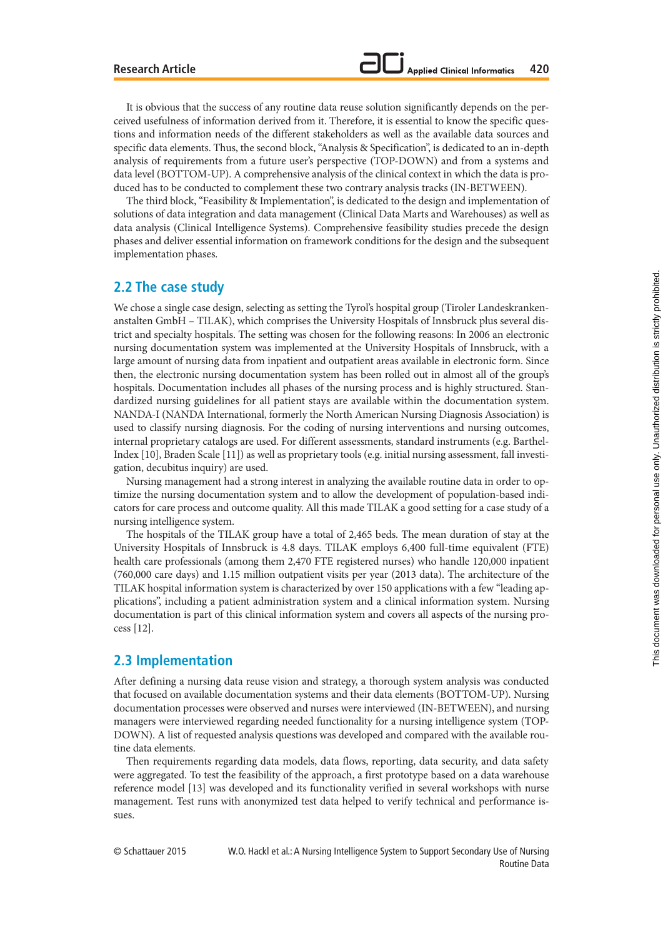It is obvious that the success of any routine data reuse solution significantly depends on the perceived usefulness of information derived from it. Therefore, it is essential to know the specific questions and information needs of the different stakeholders as well as the available data sources and specific data elements. Thus, the second block, "Analysis & Specification", is dedicated to an in-depth analysis of requirements from a future user's perspective (TOP-DOWN) and from a systems and data level (BOTTOM-UP). A comprehensive analysis of the clinical context in which the data is produced has to be conducted to complement these two contrary analysis tracks (IN-BETWEEN).

The third block, "Feasibility & Implementation", is dedicated to the design and implementation of solutions of data integration and data management (Clinical Data Marts and Warehouses) as well as data analysis (Clinical Intelligence Systems). Comprehensive feasibility studies precede the design phases and deliver essential information on framework conditions for the design and the subsequent implementation phases.

### **2.2 The case study**

We chose a single case design, selecting as setting the Tyrol's hospital group (Tiroler Landeskrankenanstalten GmbH – TILAK), which comprises the University Hospitals of Innsbruck plus several district and specialty hospitals. The setting was chosen for the following reasons: In 2006 an electronic nursing documentation system was implemented at the University Hospitals of Innsbruck, with a large amount of nursing data from inpatient and outpatient areas available in electronic form. Since then, the electronic nursing documentation system has been rolled out in almost all of the group's hospitals. Documentation includes all phases of the nursing process and is highly structured. Standardized nursing guidelines for all patient stays are available within the documentation system. NANDA-I (NANDA International, formerly the North American Nursing Diagnosis Association) is used to classify nursing diagnosis. For the coding of nursing interventions and nursing outcomes, internal proprietary catalogs are used. For different assessments, standard instruments (e.g. Barthel-Index [10], Braden Scale [11]) as well as proprietary tools (e.g. initial nursing assessment, fall investigation, decubitus inquiry) are used.

Nursing management had a strong interest in analyzing the available routine data in order to optimize the nursing documentation system and to allow the development of population-based indicators for care process and outcome quality. All this made TILAK a good setting for a case study of a nursing intelligence system.

The hospitals of the TILAK group have a total of 2,465 beds. The mean duration of stay at the University Hospitals of Innsbruck is 4.8 days. TILAK employs 6,400 full-time equivalent (FTE) health care professionals (among them 2,470 FTE registered nurses) who handle 120,000 inpatient (760,000 care days) and 1.15 million outpatient visits per year (2013 data). The architecture of the TILAK hospital information system is characterized by over 150 applications with a few "leading applications", including a patient administration system and a clinical information system. Nursing documentation is part of this clinical information system and covers all aspects of the nursing process [12].

### **2.3 Implementation**

After defining a nursing data reuse vision and strategy, a thorough system analysis was conducted that focused on available documentation systems and their data elements (BOTTOM-UP). Nursing documentation processes were observed and nurses were interviewed (IN-BETWEEN), and nursing managers were interviewed regarding needed functionality for a nursing intelligence system (TOP-DOWN). A list of requested analysis questions was developed and compared with the available routine data elements.

Then requirements regarding data models, data flows, reporting, data security, and data safety were aggregated. To test the feasibility of the approach, a first prototype based on a data warehouse reference model [13] was developed and its functionality verified in several workshops with nurse management. Test runs with anonymized test data helped to verify technical and performance issues.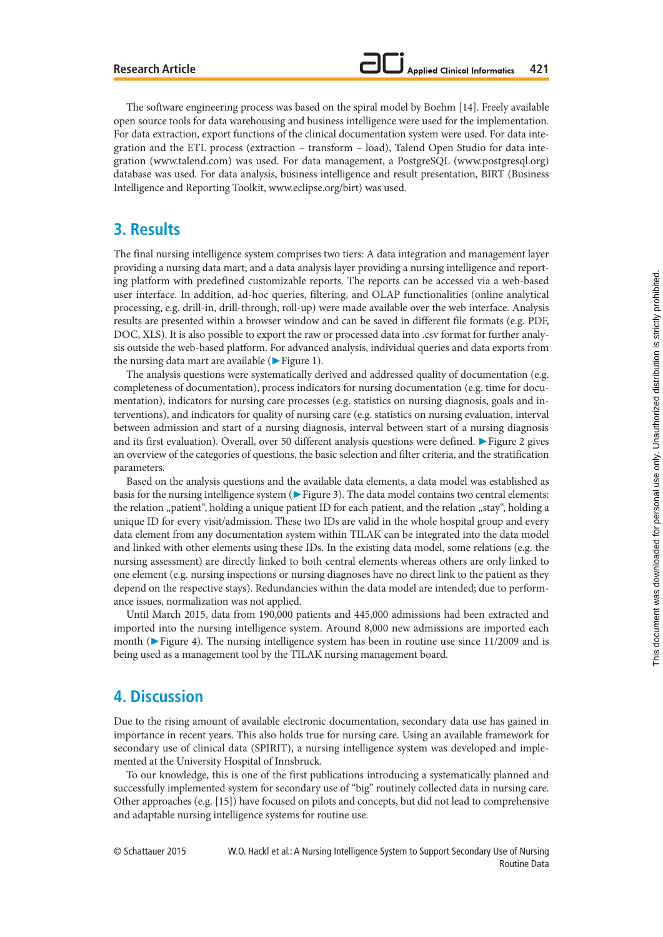The software engineering process was based on the spiral model by Boehm [14]. Freely available open source tools for data warehousing and business intelligence were used for the implementation. For data extraction, export functions of the clinical documentation system were used. For data integration and the ETL process (extraction – transform – load), Talend Open Studio for data integration (www.talend.com) was used. For data management, a PostgreSQL (www.postgresql.org) database was used. For data analysis, business intelligence and result presentation, BIRT (Business Intelligence and Reporting Toolkit, www.eclipse.org/birt) was used.

# **3. Results**

The final nursing intelligence system comprises two tiers: A data integration and management layer providing a nursing data mart; and a data analysis layer providing a nursing intelligence and reporting platform with predefined customizable reports. The reports can be accessed via a web-based user interface. In addition, ad-hoc queries, filtering, and OLAP functionalities (online analytical processing, e.g. drill-in, drill-through, roll-up) were made available over the web interface. Analysis results are presented within a browser window and can be saved in different file formats (e.g. PDF, DOC, XLS). It is also possible to export the raw or processed data into .csv format for further analysis outside the web-based platform. For advanced analysis, individual queries and data exports from the nursing data mart are available (▶ Figure 1).

The analysis questions were systematically derived and addressed quality of documentation (e.g. completeness of documentation), process indicators for nursing documentation (e.g. time for documentation), indicators for nursing care processes (e.g. statistics on nursing diagnosis, goals and interventions), and indicators for quality of nursing care (e.g. statistics on nursing evaluation, interval between admission and start of a nursing diagnosis, interval between start of a nursing diagnosis and its first evaluation). Overall, over 50 different analysis questions were defined. ▶ Figure 2 gives an overview of the categories of questions, the basic selection and filter criteria, and the stratification parameters.

Based on the analysis questions and the available data elements, a data model was established as basis for the nursing intelligence system ( $\blacktriangleright$  Figure 3). The data model contains two central elements: the relation "patient", holding a unique patient ID for each patient, and the relation "stay", holding a unique ID for every visit/admission. These two IDs are valid in the whole hospital group and every data element from any documentation system within TILAK can be integrated into the data model and linked with other elements using these IDs. In the existing data model, some relations (e.g. the nursing assessment) are directly linked to both central elements whereas others are only linked to one element (e.g. nursing inspections or nursing diagnoses have no direct link to the patient as they depend on the respective stays). Redundancies within the data model are intended; due to performance issues, normalization was not applied.

Until March 2015, data from 190,000 patients and 445,000 admissions had been extracted and imported into the nursing intelligence system. Around 8,000 new admissions are imported each month ( $\blacktriangleright$  Figure 4). The nursing intelligence system has been in routine use since 11/2009 and is being used as a management tool by the TILAK nursing management board.

# **4. Discussion**

Due to the rising amount of available electronic documentation, secondary data use has gained in importance in recent years. This also holds true for nursing care. Using an available framework for secondary use of clinical data (SPIRIT), a nursing intelligence system was developed and implemented at the University Hospital of Innsbruck.

To our knowledge, this is one of the first publications introducing a systematically planned and successfully implemented system for secondary use of "big" routinely collected data in nursing care. Other approaches (e.g. [15]) have focused on pilots and concepts, but did not lead to comprehensive and adaptable nursing intelligence systems for routine use.

W.O. Hackl et al.: A Nursing Intelligence System to Support Secondary Use of Nursing Routine Data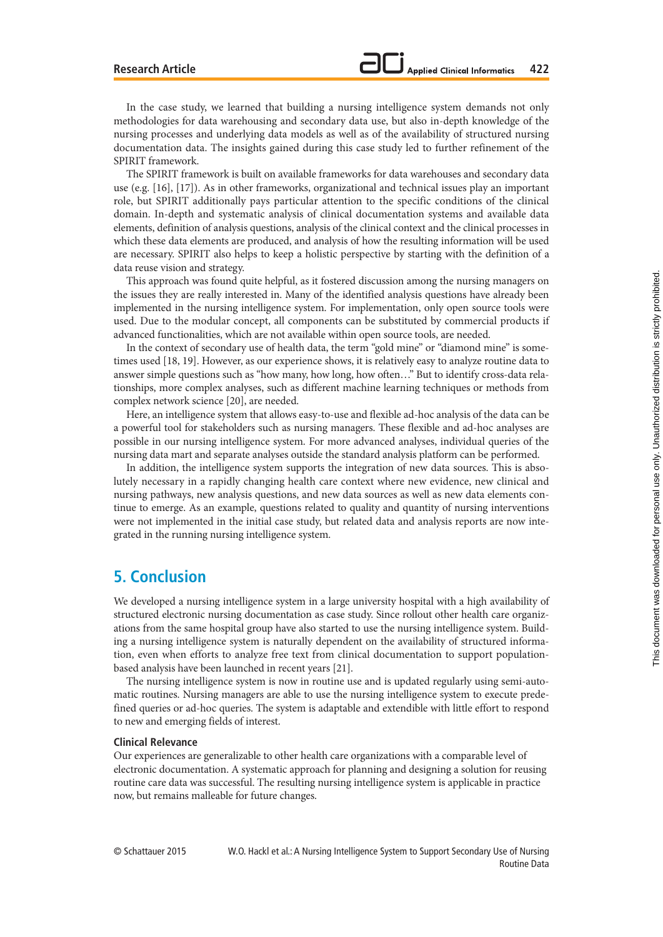In the case study, we learned that building a nursing intelligence system demands not only methodologies for data warehousing and secondary data use, but also in-depth knowledge of the nursing processes and underlying data models as well as of the availability of structured nursing documentation data. The insights gained during this case study led to further refinement of the SPIRIT framework.

The SPIRIT framework is built on available frameworks for data warehouses and secondary data use (e.g. [16], [17]). As in other frameworks, organizational and technical issues play an important role, but SPIRIT additionally pays particular attention to the specific conditions of the clinical domain. In-depth and systematic analysis of clinical documentation systems and available data elements, definition of analysis questions, analysis of the clinical context and the clinical processes in which these data elements are produced, and analysis of how the resulting information will be used are necessary. SPIRIT also helps to keep a holistic perspective by starting with the definition of a data reuse vision and strategy.

This approach was found quite helpful, as it fostered discussion among the nursing managers on the issues they are really interested in. Many of the identified analysis questions have already been implemented in the nursing intelligence system. For implementation, only open source tools were used. Due to the modular concept, all components can be substituted by commercial products if advanced functionalities, which are not available within open source tools, are needed.

In the context of secondary use of health data, the term "gold mine" or "diamond mine" is sometimes used [18, 19]. However, as our experience shows, it is relatively easy to analyze routine data to answer simple questions such as "how many, how long, how often…" But to identify cross-data relationships, more complex analyses, such as different machine learning techniques or methods from complex network science [20], are needed.

Here, an intelligence system that allows easy-to-use and flexible ad-hoc analysis of the data can be a powerful tool for stakeholders such as nursing managers. These flexible and ad-hoc analyses are possible in our nursing intelligence system. For more advanced analyses, individual queries of the nursing data mart and separate analyses outside the standard analysis platform can be performed.

In addition, the intelligence system supports the integration of new data sources. This is absolutely necessary in a rapidly changing health care context where new evidence, new clinical and nursing pathways, new analysis questions, and new data sources as well as new data elements continue to emerge. As an example, questions related to quality and quantity of nursing interventions were not implemented in the initial case study, but related data and analysis reports are now integrated in the running nursing intelligence system.

### **5. Conclusion**

We developed a nursing intelligence system in a large university hospital with a high availability of structured electronic nursing documentation as case study. Since rollout other health care organizations from the same hospital group have also started to use the nursing intelligence system. Building a nursing intelligence system is naturally dependent on the availability of structured information, even when efforts to analyze free text from clinical documentation to support populationbased analysis have been launched in recent years [21].

The nursing intelligence system is now in routine use and is updated regularly using semi-automatic routines. Nursing managers are able to use the nursing intelligence system to execute predefined queries or ad-hoc queries. The system is adaptable and extendible with little effort to respond to new and emerging fields of interest.

#### **Clinical Relevance**

Our experiences are generalizable to other health care organizations with a comparable level of electronic documentation. A systematic approach for planning and designing a solution for reusing routine care data was successful. The resulting nursing intelligence system is applicable in practice now, but remains malleable for future changes.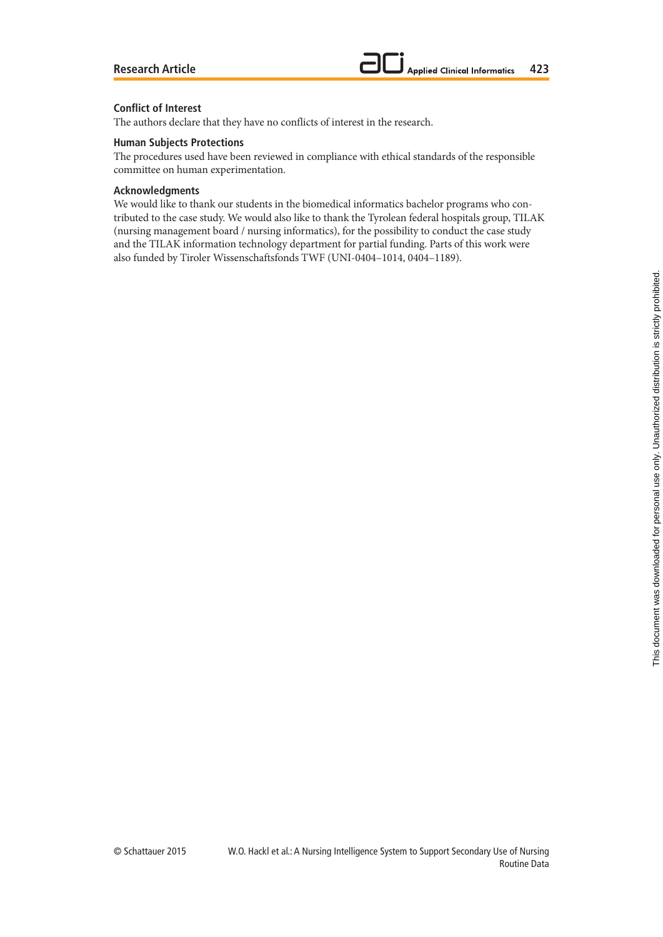### **Conflict of Interest**

The authors declare that they have no conflicts of interest in the research.

#### **Human Subjects Protections**

The procedures used have been reviewed in compliance with ethical standards of the responsible committee on human experimentation.

### **Acknowledgments**

We would like to thank our students in the biomedical informatics bachelor programs who contributed to the case study. We would also like to thank the Tyrolean federal hospitals group, TILAK (nursing management board / nursing informatics), for the possibility to conduct the case study and the TILAK information technology department for partial funding. Parts of this work were also funded by Tiroler Wissenschaftsfonds TWF (UNI-0404–1014, 0404–1189).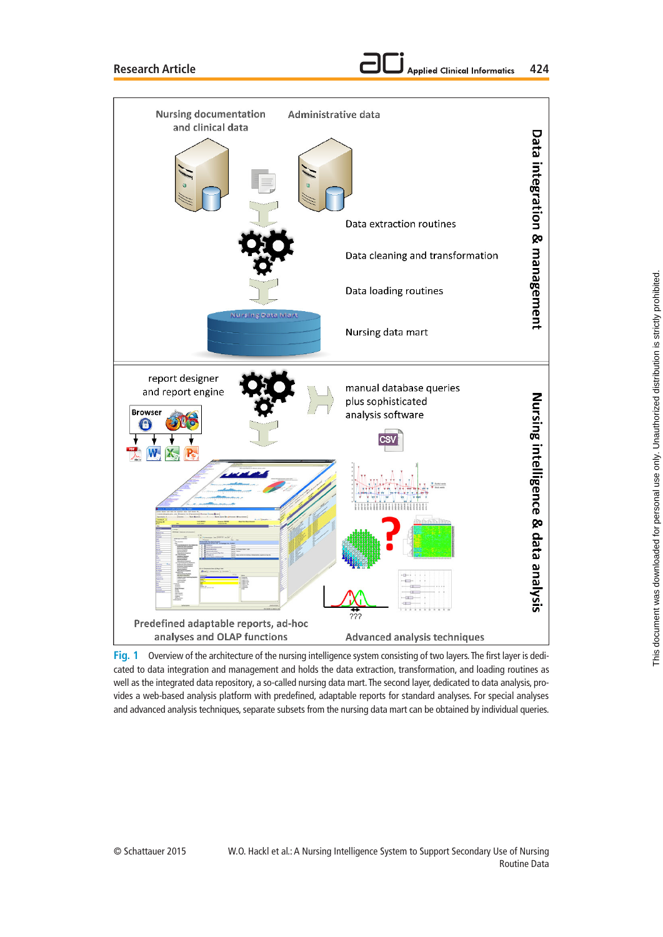



**Fig. 1** Overview of the architecture of the nursing intelligence system consisting of two layers. The first layer is dedicated to data integration and management and holds the data extraction, transformation, and loading routines as well as the integrated data repository, a so-called nursing data mart. The second layer, dedicated to data analysis, provides a web-based analysis platform with predefined, adaptable reports for standard analyses. For special analyses and advanced analysis techniques, separate subsets from the nursing data mart can be obtained by individual queries.

This document was downloaded for personal use only. Unauthorized distribution is strictly prohibited.

This document was downloaded for personal use only. Unauthorized distribution is strictly prohibited.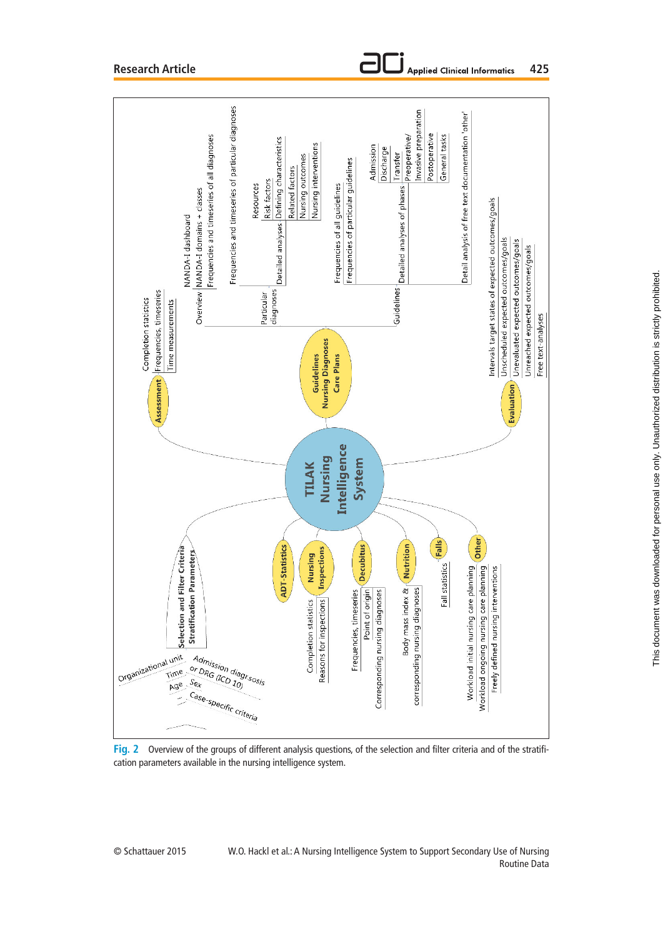

**Fig. 2** Overview of the groups of different analysis questions, of the selection and filter criteria and of the stratification parameters available in the nursing intelligence system.

**Research Article**

W.O. Hackl et al.: A Nursing Intelligence System to Support Secondary Use of Nursing Routine Data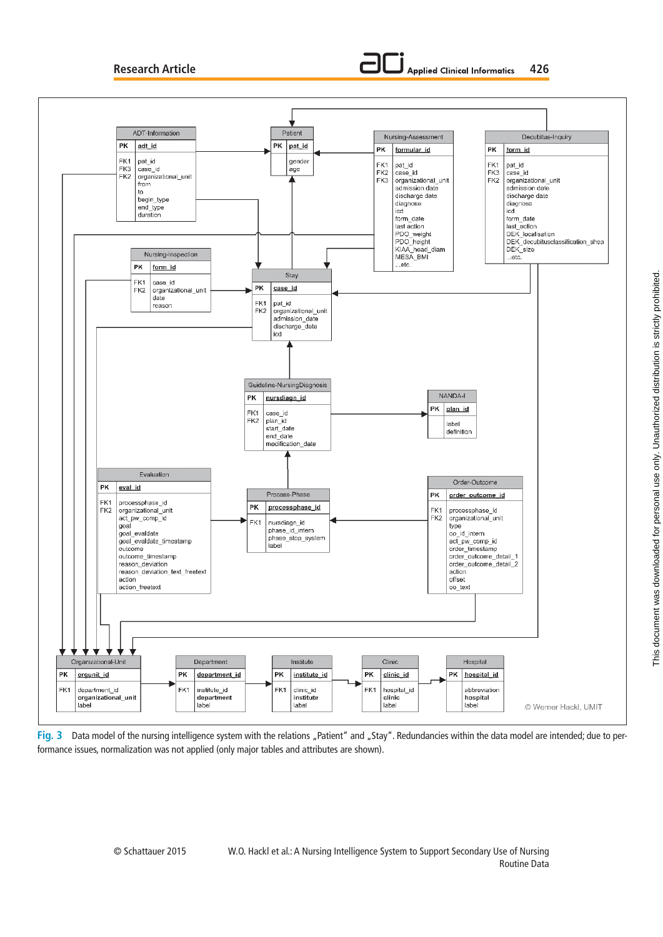### **Research Article**





Fig. 3 Data model of the nursing intelligence system with the relations "Patient" and "Stay". Redundancies within the data model are intended; due to performance issues, normalization was not applied (only major tables and attributes are shown).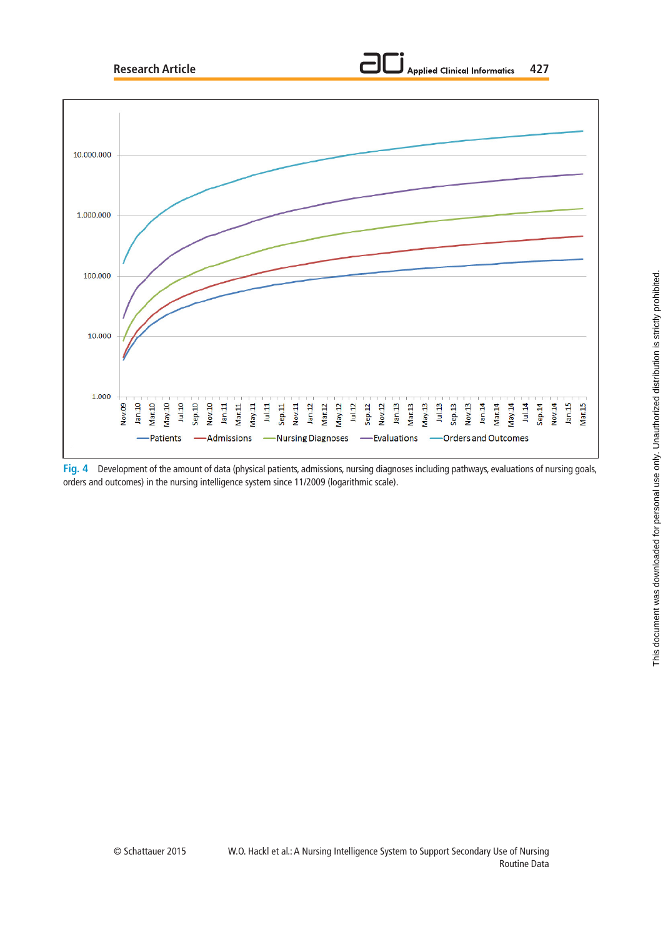**Research Article**

**Applied Clinical Informatics 427**



Fig. 4 Development of the amount of data (physical patients, admissions, nursing diagnoses including pathways, evaluations of nursing goals, orders and outcomes) in the nursing intelligence system since 11/2009 (logarithmic scale).